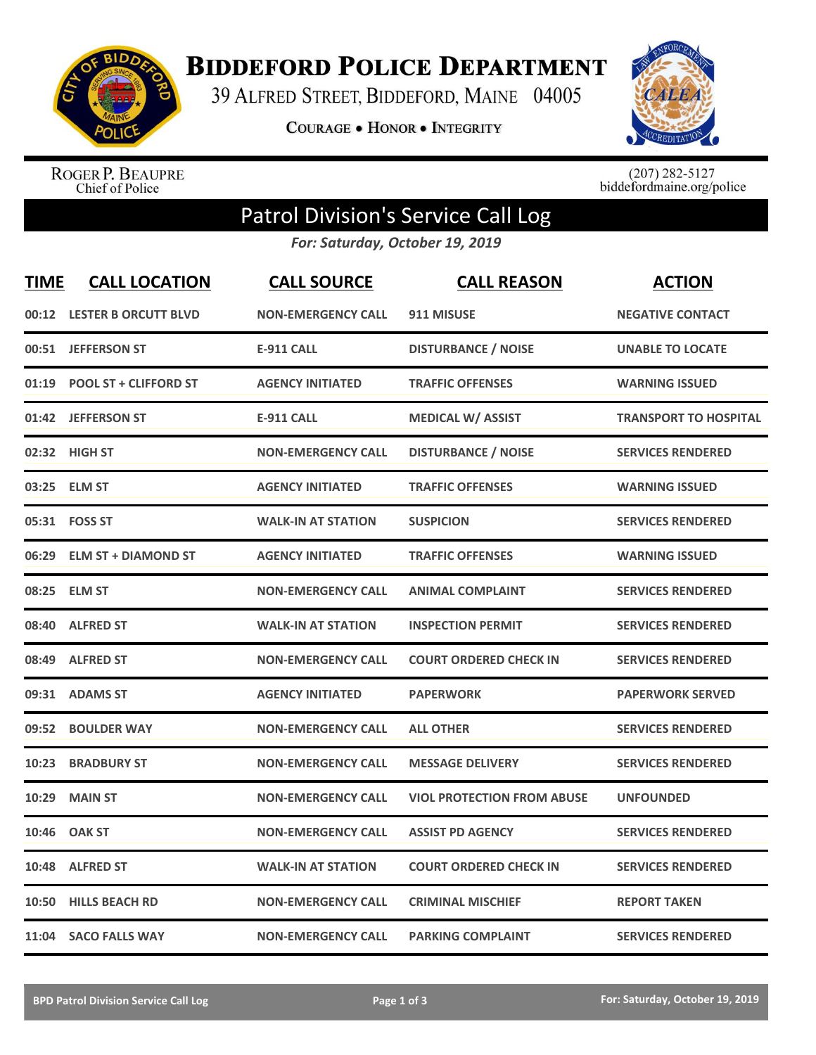

**BIDDEFORD POLICE DEPARTMENT** 

39 ALFRED STREET, BIDDEFORD, MAINE 04005

COURAGE . HONOR . INTEGRITY



ROGER P. BEAUPRE<br>Chief of Police

 $(207)$  282-5127<br>biddefordmaine.org/police

## Patrol Division's Service Call Log

*For: Saturday, October 19, 2019*

| <b>TIME</b> | <b>CALL LOCATION</b>         | <b>CALL SOURCE</b>        | <b>CALL REASON</b>                | <b>ACTION</b>                |
|-------------|------------------------------|---------------------------|-----------------------------------|------------------------------|
|             | 00:12 LESTER B ORCUTT BLVD   | <b>NON-EMERGENCY CALL</b> | 911 MISUSE                        | <b>NEGATIVE CONTACT</b>      |
| 00:51       | <b>JEFFERSON ST</b>          | <b>E-911 CALL</b>         | <b>DISTURBANCE / NOISE</b>        | <b>UNABLE TO LOCATE</b>      |
| 01:19       | <b>POOL ST + CLIFFORD ST</b> | <b>AGENCY INITIATED</b>   | <b>TRAFFIC OFFENSES</b>           | <b>WARNING ISSUED</b>        |
|             | 01:42 JEFFERSON ST           | <b>E-911 CALL</b>         | <b>MEDICAL W/ ASSIST</b>          | <b>TRANSPORT TO HOSPITAL</b> |
| 02:32       | <b>HIGH ST</b>               | <b>NON-EMERGENCY CALL</b> | <b>DISTURBANCE / NOISE</b>        | <b>SERVICES RENDERED</b>     |
| 03:25       | <b>ELM ST</b>                | <b>AGENCY INITIATED</b>   | <b>TRAFFIC OFFENSES</b>           | <b>WARNING ISSUED</b>        |
| 05:31       | <b>FOSS ST</b>               | <b>WALK-IN AT STATION</b> | <b>SUSPICION</b>                  | <b>SERVICES RENDERED</b>     |
| 06:29       | <b>ELM ST + DIAMOND ST</b>   | <b>AGENCY INITIATED</b>   | <b>TRAFFIC OFFENSES</b>           | <b>WARNING ISSUED</b>        |
| 08:25       | <b>ELM ST</b>                | <b>NON-EMERGENCY CALL</b> | <b>ANIMAL COMPLAINT</b>           | <b>SERVICES RENDERED</b>     |
| 08:40       | <b>ALFRED ST</b>             | <b>WALK-IN AT STATION</b> | <b>INSPECTION PERMIT</b>          | <b>SERVICES RENDERED</b>     |
| 08:49       | <b>ALFRED ST</b>             | <b>NON-EMERGENCY CALL</b> | <b>COURT ORDERED CHECK IN</b>     | <b>SERVICES RENDERED</b>     |
| 09:31       | <b>ADAMS ST</b>              | <b>AGENCY INITIATED</b>   | <b>PAPERWORK</b>                  | <b>PAPERWORK SERVED</b>      |
| 09:52       | <b>BOULDER WAY</b>           | <b>NON-EMERGENCY CALL</b> | <b>ALL OTHER</b>                  | <b>SERVICES RENDERED</b>     |
| 10:23       | <b>BRADBURY ST</b>           | <b>NON-EMERGENCY CALL</b> | <b>MESSAGE DELIVERY</b>           | <b>SERVICES RENDERED</b>     |
| 10:29       | <b>MAIN ST</b>               | <b>NON-EMERGENCY CALL</b> | <b>VIOL PROTECTION FROM ABUSE</b> | <b>UNFOUNDED</b>             |
| 10:46       | <b>OAK ST</b>                | <b>NON-EMERGENCY CALL</b> | <b>ASSIST PD AGENCY</b>           | <b>SERVICES RENDERED</b>     |
| 10:48       | <b>ALFRED ST</b>             | <b>WALK-IN AT STATION</b> | <b>COURT ORDERED CHECK IN</b>     | <b>SERVICES RENDERED</b>     |
| 10:50       | <b>HILLS BEACH RD</b>        | <b>NON-EMERGENCY CALL</b> | <b>CRIMINAL MISCHIEF</b>          | <b>REPORT TAKEN</b>          |
|             | 11:04 SACO FALLS WAY         | <b>NON-EMERGENCY CALL</b> | <b>PARKING COMPLAINT</b>          | <b>SERVICES RENDERED</b>     |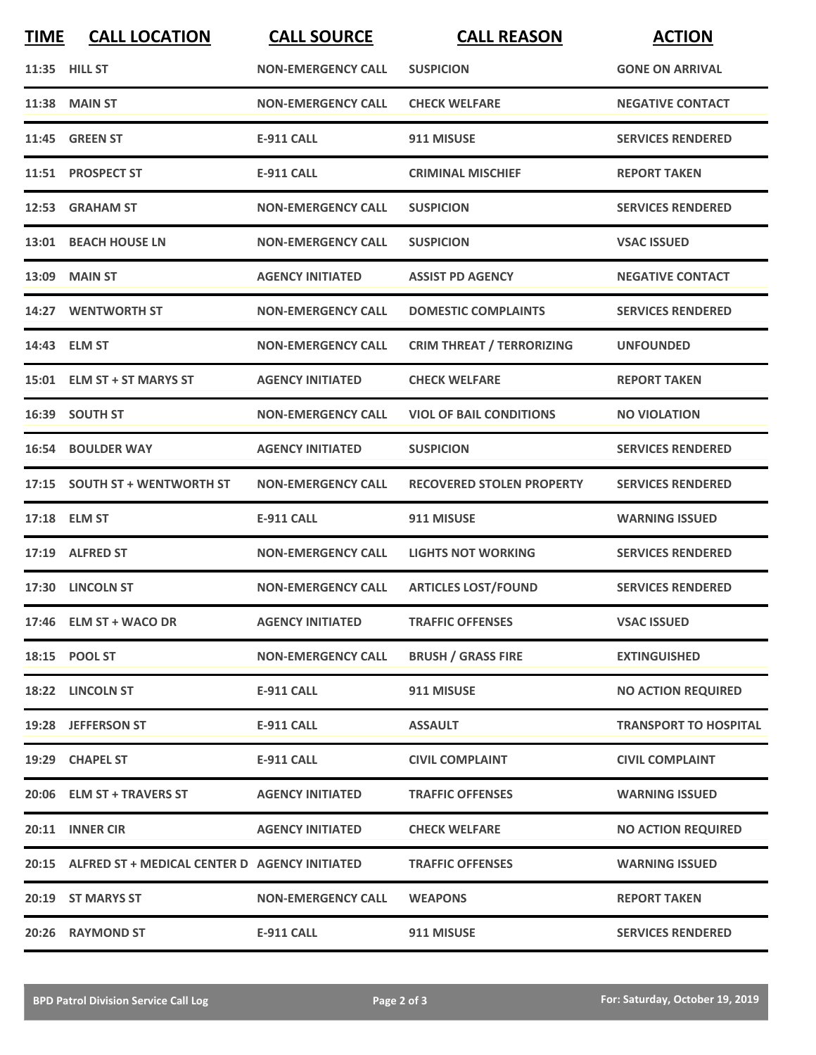| <b>TIME</b> | <b>CALL LOCATION</b>                                | <b>CALL SOURCE</b>        | <b>CALL REASON</b>               | <b>ACTION</b>                |
|-------------|-----------------------------------------------------|---------------------------|----------------------------------|------------------------------|
|             | 11:35 HILL ST                                       | <b>NON-EMERGENCY CALL</b> | <b>SUSPICION</b>                 | <b>GONE ON ARRIVAL</b>       |
|             | <b>11:38 MAIN ST</b>                                | <b>NON-EMERGENCY CALL</b> | <b>CHECK WELFARE</b>             | <b>NEGATIVE CONTACT</b>      |
| 11:45       | <b>GREEN ST</b>                                     | <b>E-911 CALL</b>         | 911 MISUSE                       | <b>SERVICES RENDERED</b>     |
|             | 11:51 PROSPECT ST                                   | <b>E-911 CALL</b>         | <b>CRIMINAL MISCHIEF</b>         | <b>REPORT TAKEN</b>          |
|             | 12:53 GRAHAM ST                                     | <b>NON-EMERGENCY CALL</b> | <b>SUSPICION</b>                 | <b>SERVICES RENDERED</b>     |
|             | 13:01 BEACH HOUSE LN                                | <b>NON-EMERGENCY CALL</b> | <b>SUSPICION</b>                 | <b>VSAC ISSUED</b>           |
|             | 13:09 MAIN ST                                       | <b>AGENCY INITIATED</b>   | <b>ASSIST PD AGENCY</b>          | <b>NEGATIVE CONTACT</b>      |
|             | 14:27 WENTWORTH ST                                  | <b>NON-EMERGENCY CALL</b> | <b>DOMESTIC COMPLAINTS</b>       | <b>SERVICES RENDERED</b>     |
|             | 14:43 ELM ST                                        | <b>NON-EMERGENCY CALL</b> | <b>CRIM THREAT / TERRORIZING</b> | <b>UNFOUNDED</b>             |
|             | 15:01 ELM ST + ST MARYS ST                          | <b>AGENCY INITIATED</b>   | <b>CHECK WELFARE</b>             | <b>REPORT TAKEN</b>          |
|             | 16:39 SOUTH ST                                      | <b>NON-EMERGENCY CALL</b> | <b>VIOL OF BAIL CONDITIONS</b>   | <b>NO VIOLATION</b>          |
|             | <b>16:54 BOULDER WAY</b>                            | <b>AGENCY INITIATED</b>   | <b>SUSPICION</b>                 | <b>SERVICES RENDERED</b>     |
|             | 17:15 SOUTH ST + WENTWORTH ST                       | <b>NON-EMERGENCY CALL</b> | <b>RECOVERED STOLEN PROPERTY</b> | <b>SERVICES RENDERED</b>     |
|             | 17:18 ELM ST                                        | <b>E-911 CALL</b>         | 911 MISUSE                       | <b>WARNING ISSUED</b>        |
|             | 17:19 ALFRED ST                                     | <b>NON-EMERGENCY CALL</b> | <b>LIGHTS NOT WORKING</b>        | <b>SERVICES RENDERED</b>     |
|             | 17:30 LINCOLN ST                                    | <b>NON-EMERGENCY CALL</b> | <b>ARTICLES LOST/FOUND</b>       | <b>SERVICES RENDERED</b>     |
|             | 17:46 ELM ST + WACO DR                              | <b>AGENCY INITIATED</b>   | <b>TRAFFIC OFFENSES</b>          | <b>VSAC ISSUED</b>           |
|             | 18:15 POOL ST                                       | <b>NON-EMERGENCY CALL</b> | <b>BRUSH / GRASS FIRE</b>        | <b>EXTINGUISHED</b>          |
|             | 18:22 LINCOLN ST                                    | <b>E-911 CALL</b>         | 911 MISUSE                       | <b>NO ACTION REQUIRED</b>    |
|             | 19:28 JEFFERSON ST                                  | E-911 CALL                | <b>ASSAULT</b>                   | <b>TRANSPORT TO HOSPITAL</b> |
|             | 19:29 CHAPEL ST                                     | <b>E-911 CALL</b>         | <b>CIVIL COMPLAINT</b>           | <b>CIVIL COMPLAINT</b>       |
|             | 20:06 ELM ST + TRAVERS ST                           | <b>AGENCY INITIATED</b>   | <b>TRAFFIC OFFENSES</b>          | <b>WARNING ISSUED</b>        |
|             | 20:11 INNER CIR                                     | <b>AGENCY INITIATED</b>   | <b>CHECK WELFARE</b>             | <b>NO ACTION REQUIRED</b>    |
|             | 20:15 ALFRED ST + MEDICAL CENTER D AGENCY INITIATED |                           | <b>TRAFFIC OFFENSES</b>          | <b>WARNING ISSUED</b>        |
|             | 20:19 ST MARYS ST                                   | <b>NON-EMERGENCY CALL</b> | <b>WEAPONS</b>                   | <b>REPORT TAKEN</b>          |
|             | 20:26 RAYMOND ST                                    | <b>E-911 CALL</b>         | 911 MISUSE                       | <b>SERVICES RENDERED</b>     |